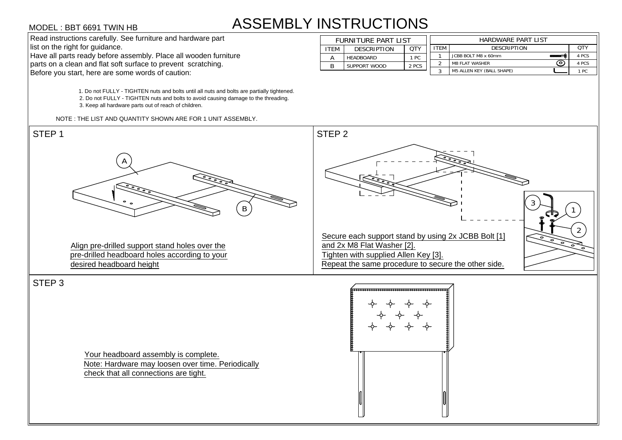# ASSEMBLY INSTRUCTIONS **STRUCTIONS<br>FURNITURE PART LIST<br>ITEM DESCRIPTION QTY**

| <b>INSTRUCTIONS</b>        |                     |       |                    |                                  |       |  |  |  |  |
|----------------------------|---------------------|-------|--------------------|----------------------------------|-------|--|--|--|--|
| <b>FURNITURE PART LIST</b> |                     |       | HARDWARE PART LIST |                                  |       |  |  |  |  |
| <b>ITEM</b>                | <b>DESCRIPTION</b>  | QTY   | <b>ITEM</b>        | <b>DESCRIPTION</b>               | QTY   |  |  |  |  |
| А                          | <b>HEADBOARD</b>    | 1 PC  |                    | JCBB BOLT M8 x 60mm              | 4 PCS |  |  |  |  |
| R                          | <b>SUPPORT WOOD</b> | 2 PCS | 2                  | ົ໐<br><b>M8 FLAT WASHER</b>      | 4 PCS |  |  |  |  |
|                            |                     |       | 3                  | <b>M5 ALLEN KEY (BALL SHAPE)</b> | 1 PC  |  |  |  |  |



Your headboard assembly is complete. Note: Hardware may loosen over time. Periodically